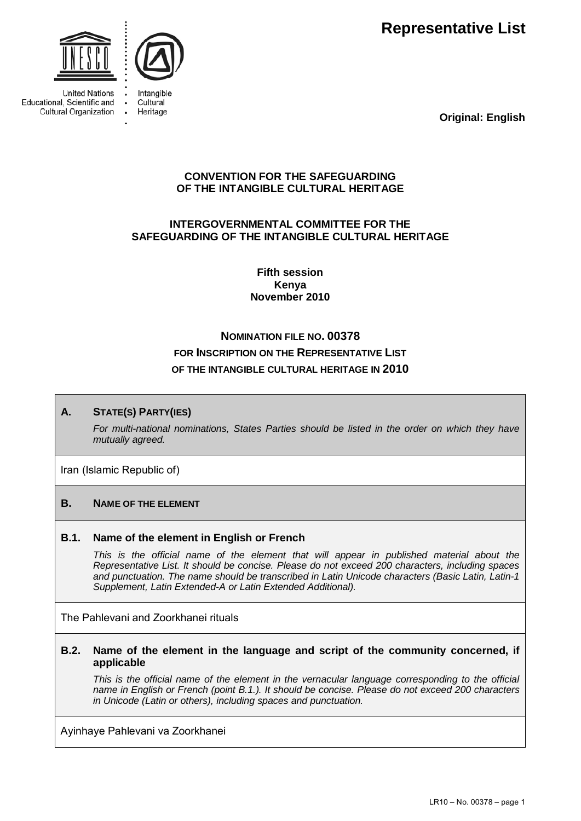**Representative List** 



**United Nations** Educational, Scientific and Cultural Organization



Intangible Cultural Heritage

**Original: English**

## **CONVENTION FOR THE SAFEGUARDING OF THE INTANGIBLE CULTURAL HERITAGE**

# **INTERGOVERNMENTAL COMMITTEE FOR THE SAFEGUARDING OF THE INTANGIBLE CULTURAL HERITAGE**

**Fifth session Kenya November 2010** 

# **NOMINATION FILE NO. 00378 FOR INSCRIPTION ON THE REPRESENTATIVE LIST OF THE INTANGIBLE CULTURAL HERITAGE IN 2010**

# **A. STATE(S) PARTY(IES)**

*For multi-national nominations, States Parties should be listed in the order on which they have mutually agreed.* 

Iran (Islamic Republic of)

# **B. NAME OF THE ELEMENT**

## **B.1. Name of the element in English or French**

This is the official name of the element that will appear in published material about the *Representative List. It should be concise. Please do not exceed 200 characters, including spaces and punctuation. The name should be transcribed in Latin Unicode characters (Basic Latin, Latin-1 Supplement, Latin Extended-A or Latin Extended Additional).* 

The Pahlevani and Zoorkhanei rituals

#### **B.2. Name of the element in the language and script of the community concerned, if applicable**

*This is the official name of the element in the vernacular language corresponding to the official name in English or French (point B.1.). It should be concise. Please do not exceed 200 characters in Unicode (Latin or others), including spaces and punctuation.* 

Ayinhaye Pahlevani va Zoorkhanei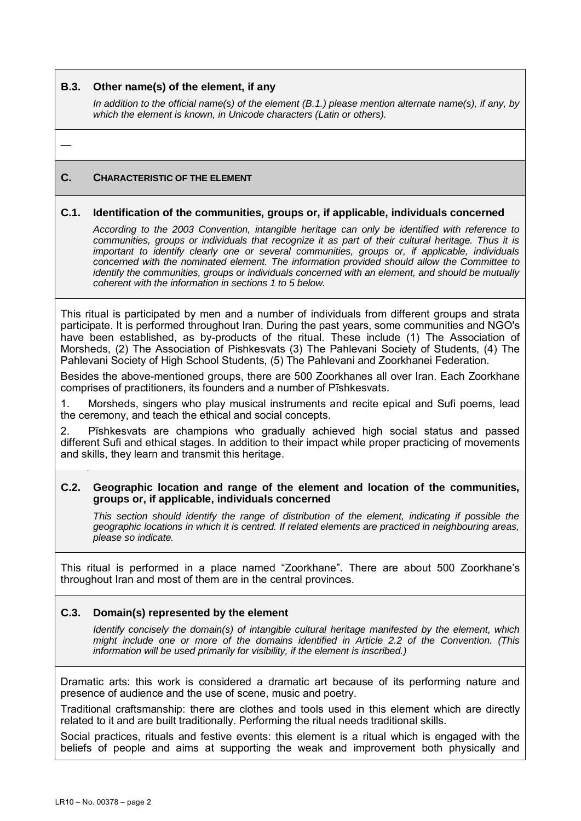#### **B.3. Other name(s) of the element, if any**

*In addition to the official name(s) of the element (B.1.) please mention alternate name(s), if any, by which the element is known, in Unicode characters (Latin or others).* 

—

## **C. CHARACTERISTIC OF THE ELEMENT**

#### **C.1. Identification of the communities, groups or, if applicable, individuals concerned**

*According to the 2003 Convention, intangible heritage can only be identified with reference to communities, groups or individuals that recognize it as part of their cultural heritage. Thus it is important to identify clearly one or several communities, groups or, if applicable, individuals concerned with the nominated element. The information provided should allow the Committee to identify the communities, groups or individuals concerned with an element, and should be mutually coherent with the information in sections 1 to 5 below.* 

This ritual is participated by men and a number of individuals from different groups and strata participate. It is performed throughout Iran. During the past years, some communities and NGO's have been established, as by-products of the ritual. These include (1) The Association of Morsheds, (2) The Association of Pishkesvats (3) The Pahlevani Society of Students, (4) The Pahlevani Society of High School Students, (5) The Pahlevani and Zoorkhanei Federation.

Besides the above-mentioned groups, there are 500 Zoorkhanes all over Iran. Each Zoorkhane comprises of practitioners, its founders and a number of Pīshkesvats.

1. Morsheds, singers who play musical instruments and recite epical and Sufi poems, lead the ceremony, and teach the ethical and social concepts.

2. Pīshkesvats are champions who gradually achieved high social status and passed different Sufi and ethical stages. In addition to their impact while proper practicing of movements and skills, they learn and transmit this heritage.

#### **C.2. Geographic location and range of the element and location of the communities, groups or, if applicable, individuals concerned**

*This section should identify the range of distribution of the element, indicating if possible the geographic locations in which it is centred. If related elements are practiced in neighbouring areas, please so indicate.* 

This ritual is performed in a place named "Zoorkhane". There are about 500 Zoorkhane's throughout Iran and most of them are in the central provinces.

## **C.3. Domain(s) represented by the element**

*Identify concisely the domain(s) of intangible cultural heritage manifested by the element, which might include one or more of the domains identified in Article 2.2 of the Convention. (This information will be used primarily for visibility, if the element is inscribed.)* 

Dramatic arts: this work is considered a dramatic art because of its performing nature and presence of audience and the use of scene, music and poetry.

Traditional craftsmanship: there are clothes and tools used in this element which are directly related to it and are built traditionally. Performing the ritual needs traditional skills.

Social practices, rituals and festive events: this element is a ritual which is engaged with the beliefs of people and aims at supporting the weak and improvement both physically and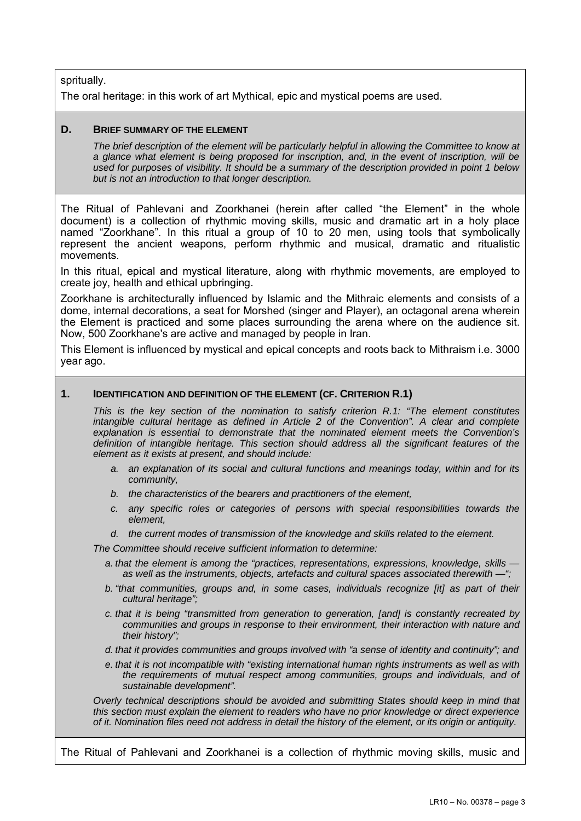spritually.

The oral heritage: in this work of art Mythical, epic and mystical poems are used.

#### **D. BRIEF SUMMARY OF THE ELEMENT**

*The brief description of the element will be particularly helpful in allowing the Committee to know at a glance what element is being proposed for inscription, and, in the event of inscription, will be used for purposes of visibility. It should be a summary of the description provided in point 1 below but is not an introduction to that longer description.* 

The Ritual of Pahlevani and Zoorkhanei (herein after called "the Element" in the whole document) is a collection of rhythmic moving skills, music and dramatic art in a holy place named "Zoorkhane". In this ritual a group of 10 to 20 men, using tools that symbolically represent the ancient weapons, perform rhythmic and musical, dramatic and ritualistic movements.

In this ritual, epical and mystical literature, along with rhythmic movements, are employed to create joy, health and ethical upbringing.

Zoorkhane is architecturally influenced by Islamic and the Mithraic elements and consists of a dome, internal decorations, a seat for Morshed (singer and Player), an octagonal arena wherein the Element is practiced and some places surrounding the arena where on the audience sit. Now, 500 Zoorkhane's are active and managed by people in Iran.

This Element is influenced by mystical and epical concepts and roots back to Mithraism i.e. 3000 year ago.

#### **1. IDENTIFICATION AND DEFINITION OF THE ELEMENT (CF. CRITERION R.1)**

*This is the key section of the nomination to satisfy criterion R.1: "The element constitutes intangible cultural heritage as defined in Article 2 of the Convention". A clear and complete explanation is essential to demonstrate that the nominated element meets the Convention's definition of intangible heritage. This section should address all the significant features of the element as it exists at present, and should include:* 

- *a. an explanation of its social and cultural functions and meanings today, within and for its community,*
- *b. the characteristics of the bearers and practitioners of the element,*
- *c. any specific roles or categories of persons with special responsibilities towards the element,*
- *d. the current modes of transmission of the knowledge and skills related to the element.*

*The Committee should receive sufficient information to determine:* 

- *a. that the element is among the "practices, representations, expressions, knowledge, skills as well as the instruments, objects, artefacts and cultural spaces associated therewith —";*
- *b. "that communities, groups and, in some cases, individuals recognize [it] as part of their cultural heritage";*
- *c. that it is being "transmitted from generation to generation, [and] is constantly recreated by communities and groups in response to their environment, their interaction with nature and their history";*
- *d. that it provides communities and groups involved with "a sense of identity and continuity"; and*
- *e. that it is not incompatible with "existing international human rights instruments as well as with the requirements of mutual respect among communities, groups and individuals, and of sustainable development".*

*Overly technical descriptions should be avoided and submitting States should keep in mind that this section must explain the element to readers who have no prior knowledge or direct experience of it. Nomination files need not address in detail the history of the element, or its origin or antiquity.* 

The Ritual of Pahlevani and Zoorkhanei is a collection of rhythmic moving skills, music and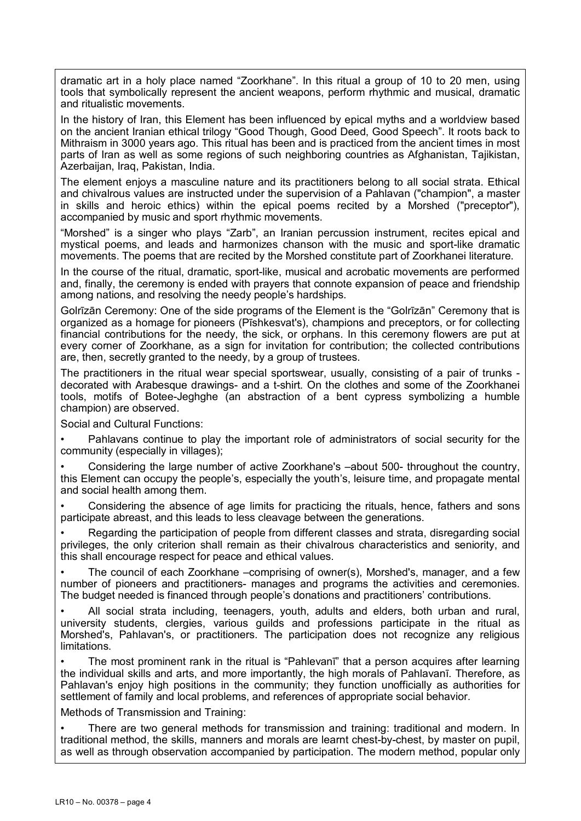dramatic art in a holy place named "Zoorkhane". In this ritual a group of 10 to 20 men, using tools that symbolically represent the ancient weapons, perform rhythmic and musical, dramatic and ritualistic movements.

In the history of Iran, this Element has been influenced by epical myths and a worldview based on the ancient Iranian ethical trilogy "Good Though, Good Deed, Good Speech". It roots back to Mithraism in 3000 years ago. This ritual has been and is practiced from the ancient times in most parts of Iran as well as some regions of such neighboring countries as Afghanistan, Tajikistan, Azerbaijan, Iraq, Pakistan, India.

The element enjoys a masculine nature and its practitioners belong to all social strata. Ethical and chivalrous values are instructed under the supervision of a Pahlavan ("champion", a master in skills and heroic ethics) within the epical poems recited by a Morshed ("preceptor"), accompanied by music and sport rhythmic movements.

"Morshed" is a singer who plays "Zarb", an Iranian percussion instrument, recites epical and mystical poems, and leads and harmonizes chanson with the music and sport-like dramatic movements. The poems that are recited by the Morshed constitute part of Zoorkhanei literature.

In the course of the ritual, dramatic, sport-like, musical and acrobatic movements are performed and, finally, the ceremony is ended with prayers that connote expansion of peace and friendship among nations, and resolving the needy people's hardships.

Golrīzān Ceremony: One of the side programs of the Element is the "Golrīzān" Ceremony that is organized as a homage for pioneers (Pīshkesvat's), champions and preceptors, or for collecting financial contributions for the needy, the sick, or orphans. In this ceremony flowers are put at every corner of Zoorkhane, as a sign for invitation for contribution; the collected contributions are, then, secretly granted to the needy, by a group of trustees.

The practitioners in the ritual wear special sportswear, usually, consisting of a pair of trunks decorated with Arabesque drawings- and a t-shirt. On the clothes and some of the Zoorkhanei tools, motifs of Botee-Jeghghe (an abstraction of a bent cypress symbolizing a humble champion) are observed.

Social and Cultural Functions:

• Pahlavans continue to play the important role of administrators of social security for the community (especially in villages);

• Considering the large number of active Zoorkhane's –about 500- throughout the country, this Element can occupy the people's, especially the youth's, leisure time, and propagate mental and social health among them.

• Considering the absence of age limits for practicing the rituals, hence, fathers and sons participate abreast, and this leads to less cleavage between the generations.

• Regarding the participation of people from different classes and strata, disregarding social privileges, the only criterion shall remain as their chivalrous characteristics and seniority, and this shall encourage respect for peace and ethical values.

• The council of each Zoorkhane –comprising of owner(s), Morshed's, manager, and a few number of pioneers and practitioners- manages and programs the activities and ceremonies. The budget needed is financed through people's donations and practitioners' contributions.

• All social strata including, teenagers, youth, adults and elders, both urban and rural, university students, clergies, various guilds and professions participate in the ritual as Morshed's, Pahlavan's, or practitioners. The participation does not recognize any religious limitations.

• The most prominent rank in the ritual is "Pahlevanī" that a person acquires after learning the individual skills and arts, and more importantly, the high morals of Pahlavanī. Therefore, as Pahlavan's enjoy high positions in the community; they function unofficially as authorities for settlement of family and local problems, and references of appropriate social behavior.

Methods of Transmission and Training:

• There are two general methods for transmission and training: traditional and modern. In traditional method, the skills, manners and morals are learnt chest-by-chest, by master on pupil, as well as through observation accompanied by participation. The modern method, popular only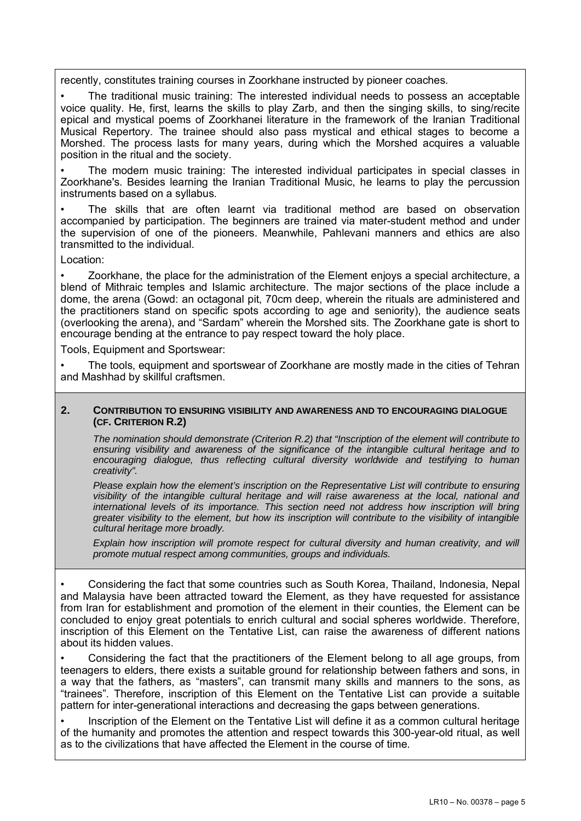recently, constitutes training courses in Zoorkhane instructed by pioneer coaches.

• The traditional music training: The interested individual needs to possess an acceptable voice quality. He, first, learns the skills to play Zarb, and then the singing skills, to sing/recite epical and mystical poems of Zoorkhanei literature in the framework of the Iranian Traditional Musical Repertory. The trainee should also pass mystical and ethical stages to become a Morshed. The process lasts for many years, during which the Morshed acquires a valuable position in the ritual and the society.

• The modern music training: The interested individual participates in special classes in Zoorkhane's. Besides learning the Iranian Traditional Music, he learns to play the percussion instruments based on a syllabus.

The skills that are often learnt via traditional method are based on observation accompanied by participation. The beginners are trained via mater-student method and under the supervision of one of the pioneers. Meanwhile, Pahlevani manners and ethics are also transmitted to the individual.

Location:

• Zoorkhane, the place for the administration of the Element enjoys a special architecture, a blend of Mithraic temples and Islamic architecture. The major sections of the place include a dome, the arena (Gowd: an octagonal pit, 70cm deep, wherein the rituals are administered and the practitioners stand on specific spots according to age and seniority), the audience seats (overlooking the arena), and "Sardam" wherein the Morshed sits. The Zoorkhane gate is short to encourage bending at the entrance to pay respect toward the holy place.

Tools, Equipment and Sportswear:

• The tools, equipment and sportswear of Zoorkhane are mostly made in the cities of Tehran and Mashhad by skillful craftsmen.

#### **2. CONTRIBUTION TO ENSURING VISIBILITY AND AWARENESS AND TO ENCOURAGING DIALOGUE (CF. CRITERION R.2)**

*The nomination should demonstrate (Criterion R.2) that "Inscription of the element will contribute to ensuring visibility and awareness of the significance of the intangible cultural heritage and to encouraging dialogue, thus reflecting cultural diversity worldwide and testifying to human creativity".* 

*Please explain how the element's inscription on the Representative List will contribute to ensuring visibility of the intangible cultural heritage and will raise awareness at the local, national and international levels of its importance. This section need not address how inscription will bring greater visibility to the element, but how its inscription will contribute to the visibility of intangible cultural heritage more broadly.* 

*Explain how inscription will promote respect for cultural diversity and human creativity, and will promote mutual respect among communities, groups and individuals.* 

• Considering the fact that some countries such as South Korea, Thailand, Indonesia, Nepal and Malaysia have been attracted toward the Element, as they have requested for assistance from Iran for establishment and promotion of the element in their counties, the Element can be concluded to enjoy great potentials to enrich cultural and social spheres worldwide. Therefore, inscription of this Element on the Tentative List, can raise the awareness of different nations about its hidden values.

• Considering the fact that the practitioners of the Element belong to all age groups, from teenagers to elders, there exists a suitable ground for relationship between fathers and sons, in a way that the fathers, as "masters", can transmit many skills and manners to the sons, as "trainees". Therefore, inscription of this Element on the Tentative List can provide a suitable pattern for inter-generational interactions and decreasing the gaps between generations.

• Inscription of the Element on the Tentative List will define it as a common cultural heritage of the humanity and promotes the attention and respect towards this 300-year-old ritual, as well as to the civilizations that have affected the Element in the course of time.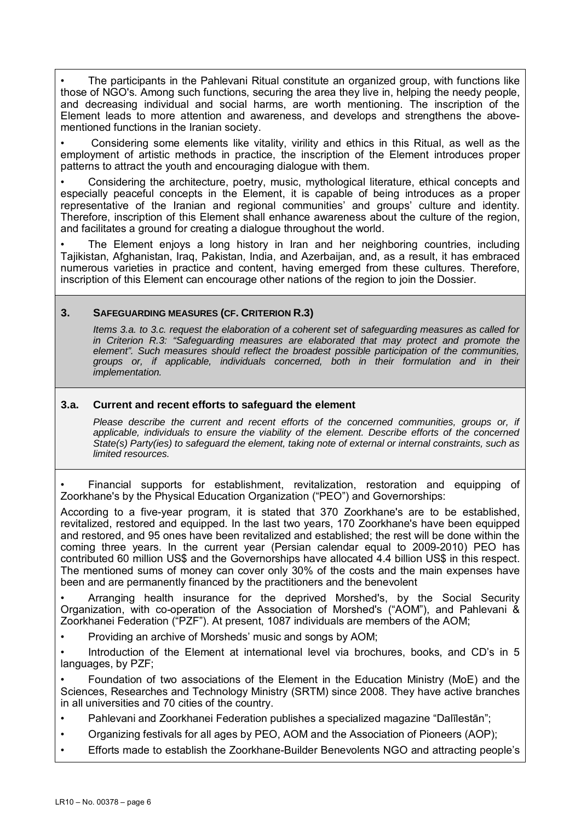• The participants in the Pahlevani Ritual constitute an organized group, with functions like those of NGO's. Among such functions, securing the area they live in, helping the needy people, and decreasing individual and social harms, are worth mentioning. The inscription of the Element leads to more attention and awareness, and develops and strengthens the abovementioned functions in the Iranian society.

• Considering some elements like vitality, virility and ethics in this Ritual, as well as the employment of artistic methods in practice, the inscription of the Element introduces proper patterns to attract the youth and encouraging dialogue with them.

• Considering the architecture, poetry, music, mythological literature, ethical concepts and especially peaceful concepts in the Element, it is capable of being introduces as a proper representative of the Iranian and regional communities' and groups' culture and identity. Therefore, inscription of this Element shall enhance awareness about the culture of the region, and facilitates a ground for creating a dialogue throughout the world.

The Element enjoys a long history in Iran and her neighboring countries, including Tajikistan, Afghanistan, Iraq, Pakistan, India, and Azerbaijan, and, as a result, it has embraced numerous varieties in practice and content, having emerged from these cultures. Therefore, inscription of this Element can encourage other nations of the region to join the Dossier.

#### **3. SAFEGUARDING MEASURES (CF. CRITERION R.3)**

*Items 3.a. to 3.c. request the elaboration of a coherent set of safeguarding measures as called for in Criterion R.3: "Safeguarding measures are elaborated that may protect and promote the element". Such measures should reflect the broadest possible participation of the communities, groups or, if applicable, individuals concerned, both in their formulation and in their implementation.* 

#### **3.a. Current and recent efforts to safeguard the element**

Please describe the current and recent efforts of the concerned communities, groups or, if *applicable, individuals to ensure the viability of the element. Describe efforts of the concerned State(s) Party(ies) to safeguard the element, taking note of external or internal constraints, such as limited resources.* 

• Financial supports for establishment, revitalization, restoration and equipping of Zoorkhane's by the Physical Education Organization ("PEO") and Governorships:

According to a five-year program, it is stated that 370 Zoorkhane's are to be established, revitalized, restored and equipped. In the last two years, 170 Zoorkhane's have been equipped and restored, and 95 ones have been revitalized and established; the rest will be done within the coming three years. In the current year (Persian calendar equal to 2009-2010) PEO has contributed 60 million US\$ and the Governorships have allocated 4.4 billion US\$ in this respect. The mentioned sums of money can cover only 30% of the costs and the main expenses have been and are permanently financed by the practitioners and the benevolent

• Arranging health insurance for the deprived Morshed's, by the Social Security Organization, with co-operation of the Association of Morshed's ("AOM"), and Pahlevani & Zoorkhanei Federation ("PZF"). At present, 1087 individuals are members of the AOM;

• Providing an archive of Morsheds' music and songs by AOM;

• Introduction of the Element at international level via brochures, books, and CD's in 5 languages, by PZF;

• Foundation of two associations of the Element in the Education Ministry (MoE) and the Sciences, Researches and Technology Ministry (SRTM) since 2008. They have active branches in all universities and 70 cities of the country.

- Pahlevani and Zoorkhanei Federation publishes a specialized magazine "Dalīlestān";
- Organizing festivals for all ages by PEO, AOM and the Association of Pioneers (AOP);
- Efforts made to establish the Zoorkhane-Builder Benevolents NGO and attracting people's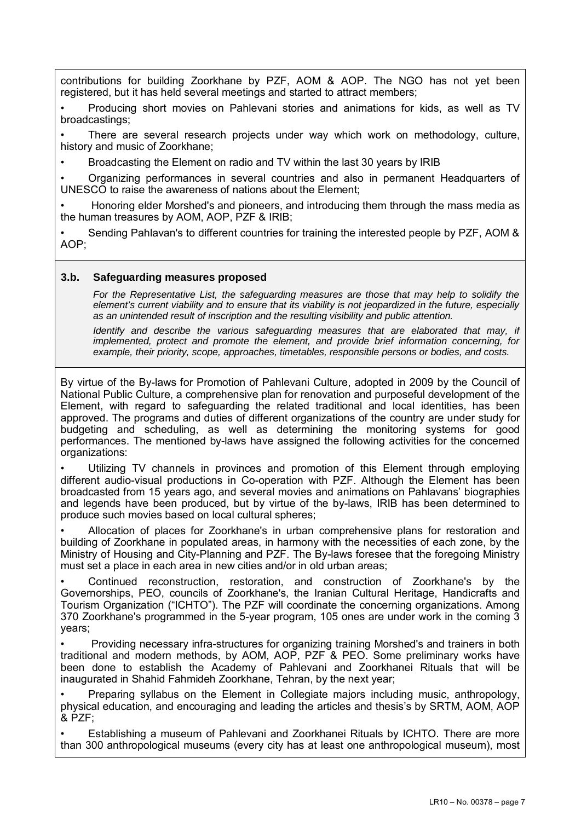contributions for building Zoorkhane by PZF, AOM & AOP. The NGO has not yet been registered, but it has held several meetings and started to attract members;

• Producing short movies on Pahlevani stories and animations for kids, as well as TV broadcastings;

There are several research projects under way which work on methodology, culture, history and music of Zoorkhane;

• Broadcasting the Element on radio and TV within the last 30 years by IRIB

• Organizing performances in several countries and also in permanent Headquarters of UNESCO to raise the awareness of nations about the Element;

• Honoring elder Morshed's and pioneers, and introducing them through the mass media as the human treasures by AOM, AOP, PZF & IRIB;

• Sending Pahlavan's to different countries for training the interested people by PZF, AOM &  $AOP$ 

#### **3.b. Safeguarding measures proposed**

*For the Representative List, the safeguarding measures are those that may help to solidify the element's current viability and to ensure that its viability is not jeopardized in the future, especially as an unintended result of inscription and the resulting visibility and public attention.* 

*Identify and describe the various safequarding measures that are elaborated that may, if implemented, protect and promote the element, and provide brief information concerning, for example, their priority, scope, approaches, timetables, responsible persons or bodies, and costs.* 

By virtue of the By-laws for Promotion of Pahlevani Culture, adopted in 2009 by the Council of National Public Culture, a comprehensive plan for renovation and purposeful development of the Element, with regard to safeguarding the related traditional and local identities, has been approved. The programs and duties of different organizations of the country are under study for budgeting and scheduling, as well as determining the monitoring systems for good performances. The mentioned by-laws have assigned the following activities for the concerned organizations:

Utilizing TV channels in provinces and promotion of this Element through employing different audio-visual productions in Co-operation with PZF. Although the Element has been broadcasted from 15 years ago, and several movies and animations on Pahlavans' biographies and legends have been produced, but by virtue of the by-laws, IRIB has been determined to produce such movies based on local cultural spheres;

• Allocation of places for Zoorkhane's in urban comprehensive plans for restoration and building of Zoorkhane in populated areas, in harmony with the necessities of each zone, by the Ministry of Housing and City-Planning and PZF. The By-laws foresee that the foregoing Ministry must set a place in each area in new cities and/or in old urban areas;

• Continued reconstruction, restoration, and construction of Zoorkhane's by the Governorships, PEO, councils of Zoorkhane's, the Iranian Cultural Heritage, Handicrafts and Tourism Organization ("ICHTO"). The PZF will coordinate the concerning organizations. Among 370 Zoorkhane's programmed in the 5-year program, 105 ones are under work in the coming 3 years;

• Providing necessary infra-structures for organizing training Morshed's and trainers in both traditional and modern methods, by AOM, AOP, PZF & PEO. Some preliminary works have been done to establish the Academy of Pahlevani and Zoorkhanei Rituals that will be inaugurated in Shahid Fahmideh Zoorkhane, Tehran, by the next year;

• Preparing syllabus on the Element in Collegiate majors including music, anthropology, physical education, and encouraging and leading the articles and thesis's by SRTM, AOM, AOP  $&$  PZF;

• Establishing a museum of Pahlevani and Zoorkhanei Rituals by ICHTO. There are more than 300 anthropological museums (every city has at least one anthropological museum), most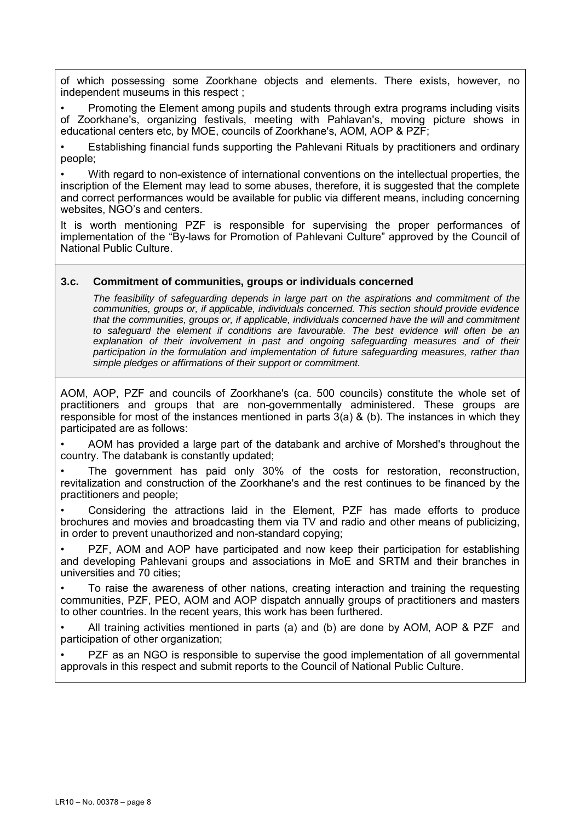of which possessing some Zoorkhane objects and elements. There exists, however, no independent museums in this respect ;

• Promoting the Element among pupils and students through extra programs including visits of Zoorkhane's, organizing festivals, meeting with Pahlavan's, moving picture shows in educational centers etc, by MOE, councils of Zoorkhane's, AOM, AOP & PZF;

• Establishing financial funds supporting the Pahlevani Rituals by practitioners and ordinary people;

• With regard to non-existence of international conventions on the intellectual properties, the inscription of the Element may lead to some abuses, therefore, it is suggested that the complete and correct performances would be available for public via different means, including concerning websites, NGO's and centers.

It is worth mentioning PZF is responsible for supervising the proper performances of implementation of the "By-laws for Promotion of Pahlevani Culture" approved by the Council of National Public Culture.

## **3.c. Commitment of communities, groups or individuals concerned**

*The feasibility of safeguarding depends in large part on the aspirations and commitment of the communities, groups or, if applicable, individuals concerned. This section should provide evidence that the communities, groups or, if applicable, individuals concerned have the will and commitment to safeguard the element if conditions are favourable. The best evidence will often be an*  explanation of their involvement in past and ongoing safeguarding measures and of their *participation in the formulation and implementation of future safeguarding measures, rather than simple pledges or affirmations of their support or commitment.* 

AOM, AOP, PZF and councils of Zoorkhane's (ca. 500 councils) constitute the whole set of practitioners and groups that are non-governmentally administered. These groups are responsible for most of the instances mentioned in parts 3(a) & (b). The instances in which they participated are as follows:

• AOM has provided a large part of the databank and archive of Morshed's throughout the country. The databank is constantly updated;

• The government has paid only 30% of the costs for restoration, reconstruction, revitalization and construction of the Zoorkhane's and the rest continues to be financed by the practitioners and people;

• Considering the attractions laid in the Element, PZF has made efforts to produce brochures and movies and broadcasting them via TV and radio and other means of publicizing, in order to prevent unauthorized and non-standard copying;

• PZF, AOM and AOP have participated and now keep their participation for establishing and developing Pahlevani groups and associations in MoE and SRTM and their branches in universities and 70 cities;

• To raise the awareness of other nations, creating interaction and training the requesting communities, PZF, PEO, AOM and AOP dispatch annually groups of practitioners and masters to other countries. In the recent years, this work has been furthered.

• All training activities mentioned in parts (a) and (b) are done by AOM, AOP & PZF and participation of other organization;

PZF as an NGO is responsible to supervise the good implementation of all governmental approvals in this respect and submit reports to the Council of National Public Culture.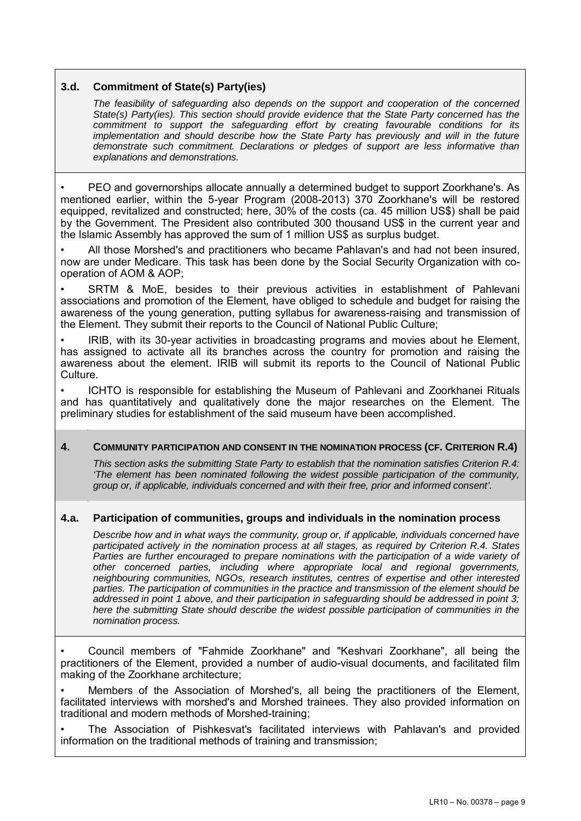## **3.d. Commitment of State(s) Party(ies)**

*The feasibility of safeguarding also depends on the support and cooperation of the concerned State(s) Party(ies). This section should provide evidence that the State Party concerned has the commitment to support the safeguarding effort by creating favourable conditions for its implementation and should describe how the State Party has previously and will in the future demonstrate such commitment. Declarations or pledges of support are less informative than explanations and demonstrations.* 

• PEO and governorships allocate annually a determined budget to support Zoorkhane's. As mentioned earlier, within the 5-year Program (2008-2013) 370 Zoorkhane's will be restored equipped, revitalized and constructed; here, 30% of the costs (ca. 45 million US\$) shall be paid by the Government. The President also contributed 300 thousand US\$ in the current year and the Islamic Assembly has approved the sum of 1 million US\$ as surplus budget.

• All those Morshed's and practitioners who became Pahlavan's and had not been insured, now are under Medicare. This task has been done by the Social Security Organization with cooperation of AOM & AOP;

SRTM & MoE, besides to their previous activities in establishment of Pahlevani associations and promotion of the Element, have obliged to schedule and budget for raising the awareness of the young generation, putting syllabus for awareness-raising and transmission of the Element. They submit their reports to the Council of National Public Culture;

• IRIB, with its 30-year activities in broadcasting programs and movies about he Element, has assigned to activate all its branches across the country for promotion and raising the awareness about the element. IRIB will submit its reports to the Council of National Public Culture.

• ICHTO is responsible for establishing the Museum of Pahlevani and Zoorkhanei Rituals and has quantitatively and qualitatively done the major researches on the Element. The preliminary studies for establishment of the said museum have been accomplished.

## **4. COMMUNITY PARTICIPATION AND CONSENT IN THE NOMINATION PROCESS (CF. CRITERION R.4)**

*This section asks the submitting State Party to establish that the nomination satisfies Criterion R.4: 'The element has been nominated following the widest possible participation of the community, group or, if applicable, individuals concerned and with their free, prior and informed consent'.* 

## **4.a. Participation of communities, groups and individuals in the nomination process**

*Describe how and in what ways the community, group or, if applicable, individuals concerned have participated actively in the nomination process at all stages, as required by Criterion R.4. States*  Parties are further encouraged to prepare nominations with the participation of a wide variety of *other concerned parties, including where appropriate local and regional governments, neighbouring communities, NGOs, research institutes, centres of expertise and other interested parties. The participation of communities in the practice and transmission of the element should be addressed in point 1 above, and their participation in safeguarding should be addressed in point 3; here the submitting State should describe the widest possible participation of communities in the nomination process.* 

• Council members of "Fahmide Zoorkhane" and "Keshvari Zoorkhane", all being the practitioners of the Element, provided a number of audio-visual documents, and facilitated film making of the Zoorkhane architecture;

Members of the Association of Morshed's, all being the practitioners of the Element, facilitated interviews with morshed's and Morshed trainees. They also provided information on traditional and modern methods of Morshed-training;

• The Association of Pishkesvat's facilitated interviews with Pahlavan's and provided information on the traditional methods of training and transmission;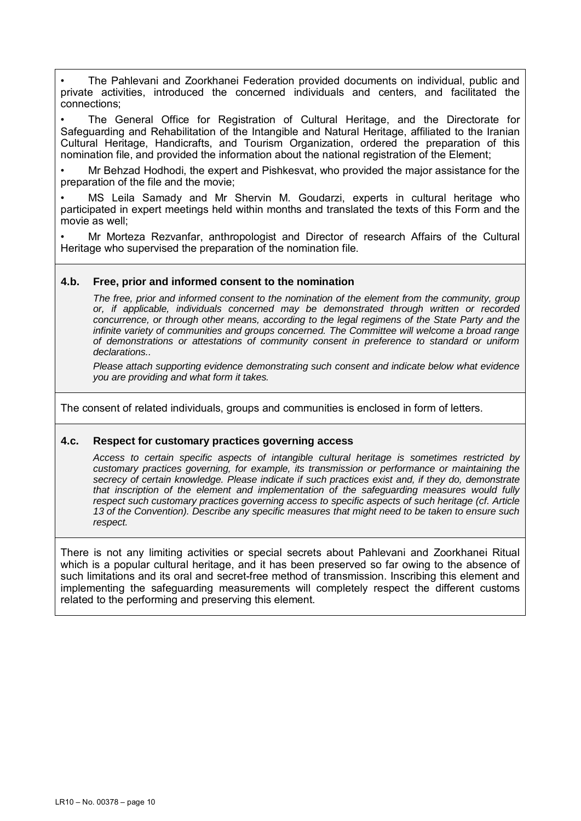• The Pahlevani and Zoorkhanei Federation provided documents on individual, public and private activities, introduced the concerned individuals and centers, and facilitated the connections;

• The General Office for Registration of Cultural Heritage, and the Directorate for Safeguarding and Rehabilitation of the Intangible and Natural Heritage, affiliated to the Iranian Cultural Heritage, Handicrafts, and Tourism Organization, ordered the preparation of this nomination file, and provided the information about the national registration of the Element;

• Mr Behzad Hodhodi, the expert and Pishkesvat, who provided the major assistance for the preparation of the file and the movie;

MS Leila Samady and Mr Shervin M. Goudarzi, experts in cultural heritage who participated in expert meetings held within months and translated the texts of this Form and the movie as well;

• Mr Morteza Rezvanfar, anthropologist and Director of research Affairs of the Cultural Heritage who supervised the preparation of the nomination file.

#### **4.b. Free, prior and informed consent to the nomination**

*The free, prior and informed consent to the nomination of the element from the community, group or, if applicable, individuals concerned may be demonstrated through written or recorded concurrence, or through other means, according to the legal regimens of the State Party and the infinite variety of communities and groups concerned. The Committee will welcome a broad range of demonstrations or attestations of community consent in preference to standard or uniform declarations..* 

*Please attach supporting evidence demonstrating such consent and indicate below what evidence you are providing and what form it takes.* 

The consent of related individuals, groups and communities is enclosed in form of letters.

#### **4.c. Respect for customary practices governing access**

*Access to certain specific aspects of intangible cultural heritage is sometimes restricted by customary practices governing, for example, its transmission or performance or maintaining the secrecy of certain knowledge. Please indicate if such practices exist and, if they do, demonstrate that inscription of the element and implementation of the safeguarding measures would fully respect such customary practices governing access to specific aspects of such heritage (cf. Article 13 of the Convention). Describe any specific measures that might need to be taken to ensure such respect.* 

There is not any limiting activities or special secrets about Pahlevani and Zoorkhanei Ritual which is a popular cultural heritage, and it has been preserved so far owing to the absence of such limitations and its oral and secret-free method of transmission. Inscribing this element and implementing the safeguarding measurements will completely respect the different customs related to the performing and preserving this element.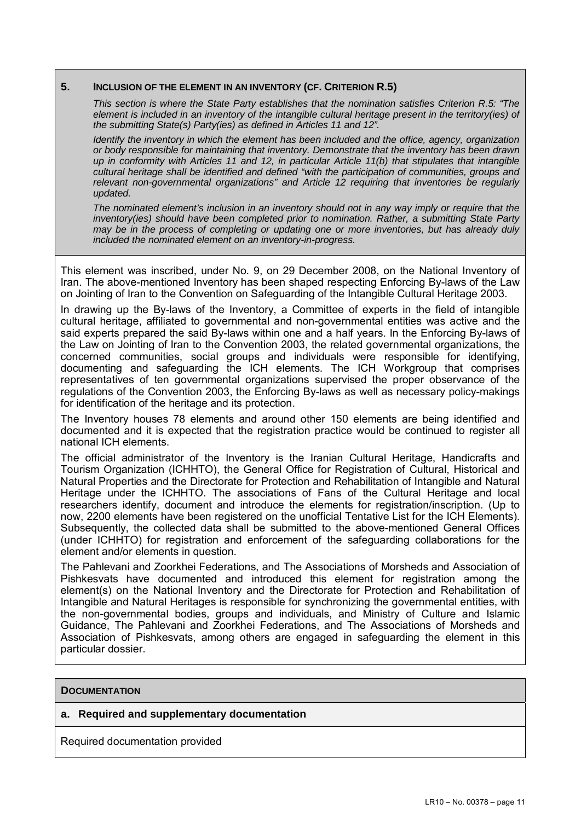#### **5. INCLUSION OF THE ELEMENT IN AN INVENTORY (CF. CRITERION R.5)**

*This section is where the State Party establishes that the nomination satisfies Criterion R.5: "The element is included in an inventory of the intangible cultural heritage present in the territory(ies) of the submitting State(s) Party(ies) as defined in Articles 11 and 12".* 

*Identify the inventory in which the element has been included and the office, agency, organization or body responsible for maintaining that inventory. Demonstrate that the inventory has been drawn up in conformity with Articles 11 and 12, in particular Article 11(b) that stipulates that intangible cultural heritage shall be identified and defined "with the participation of communities, groups and relevant non-governmental organizations" and Article 12 requiring that inventories be regularly updated.* 

*The nominated element's inclusion in an inventory should not in any way imply or require that the inventory(ies) should have been completed prior to nomination. Rather, a submitting State Party may be in the process of completing or updating one or more inventories, but has already duly included the nominated element on an inventory-in-progress.* 

This element was inscribed, under No. 9, on 29 December 2008, on the National Inventory of Iran. The above-mentioned Inventory has been shaped respecting Enforcing By-laws of the Law on Jointing of Iran to the Convention on Safeguarding of the Intangible Cultural Heritage 2003.

In drawing up the By-laws of the Inventory, a Committee of experts in the field of intangible cultural heritage, affiliated to governmental and non-governmental entities was active and the said experts prepared the said By-laws within one and a half years. In the Enforcing By-laws of the Law on Jointing of Iran to the Convention 2003, the related governmental organizations, the concerned communities, social groups and individuals were responsible for identifying, documenting and safeguarding the ICH elements. The ICH Workgroup that comprises representatives of ten governmental organizations supervised the proper observance of the regulations of the Convention 2003, the Enforcing By-laws as well as necessary policy-makings for identification of the heritage and its protection.

The Inventory houses 78 elements and around other 150 elements are being identified and documented and it is expected that the registration practice would be continued to register all national ICH elements.

The official administrator of the Inventory is the Iranian Cultural Heritage, Handicrafts and Tourism Organization (ICHHTO), the General Office for Registration of Cultural, Historical and Natural Properties and the Directorate for Protection and Rehabilitation of Intangible and Natural Heritage under the ICHHTO. The associations of Fans of the Cultural Heritage and local researchers identify, document and introduce the elements for registration/inscription. (Up to now, 2200 elements have been registered on the unofficial Tentative List for the ICH Elements). Subsequently, the collected data shall be submitted to the above-mentioned General Offices (under ICHHTO) for registration and enforcement of the safeguarding collaborations for the element and/or elements in question.

The Pahlevani and Zoorkhei Federations, and The Associations of Morsheds and Association of Pishkesvats have documented and introduced this element for registration among the element(s) on the National Inventory and the Directorate for Protection and Rehabilitation of Intangible and Natural Heritages is responsible for synchronizing the governmental entities, with the non-governmental bodies, groups and individuals, and Ministry of Culture and Islamic Guidance, The Pahlevani and Zoorkhei Federations, and The Associations of Morsheds and Association of Pishkesvats, among others are engaged in safeguarding the element in this particular dossier.

#### **DOCUMENTATION**

# **a. Required and supplementary documentation**

Required documentation provided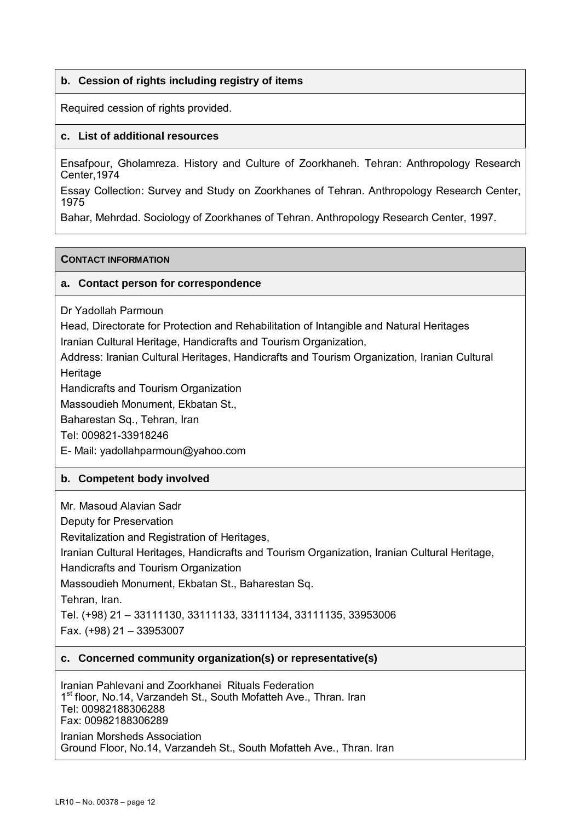# **b. Cession of rights including registry of items**

Required cession of rights provided.

# **c. List of additional resources**

Ensafpour, Gholamreza. History and Culture of Zoorkhaneh. Tehran: Anthropology Research Center,1974

Essay Collection: Survey and Study on Zoorkhanes of Tehran. Anthropology Research Center, 1975

Bahar, Mehrdad. Sociology of Zoorkhanes of Tehran. Anthropology Research Center, 1997.

## **CONTACT INFORMATION**

## **a. Contact person for correspondence**

Dr Yadollah Parmoun

Head, Directorate for Protection and Rehabilitation of Intangible and Natural Heritages Iranian Cultural Heritage, Handicrafts and Tourism Organization,

Address: Iranian Cultural Heritages, Handicrafts and Tourism Organization, Iranian Cultural **Heritage** 

Handicrafts and Tourism Organization

Massoudieh Monument, Ekbatan St.,

Baharestan Sq., Tehran, Iran

Tel: 009821-33918246

E- Mail: yadollahparmoun@yahoo.com

# **b. Competent body involved**

Mr. Masoud Alavian Sadr

Deputy for Preservation

Revitalization and Registration of Heritages,

Iranian Cultural Heritages, Handicrafts and Tourism Organization, Iranian Cultural Heritage,

Handicrafts and Tourism Organization

Massoudieh Monument, Ekbatan St., Baharestan Sq.

Tehran, Iran.

Tel. (+98) 21 – 33111130, 33111133, 33111134, 33111135, 33953006

Fax. (+98) 21 – 33953007

## **c. Concerned community organization(s) or representative(s)**

Iranian Pahlevani and Zoorkhanei Rituals Federation 1<sup>st</sup> floor, No.14, Varzandeh St., South Mofatteh Ave., Thran. Iran Tel: 00982188306288 Fax: 00982188306289 Iranian Morsheds Association

Ground Floor, No.14, Varzandeh St., South Mofatteh Ave., Thran. Iran